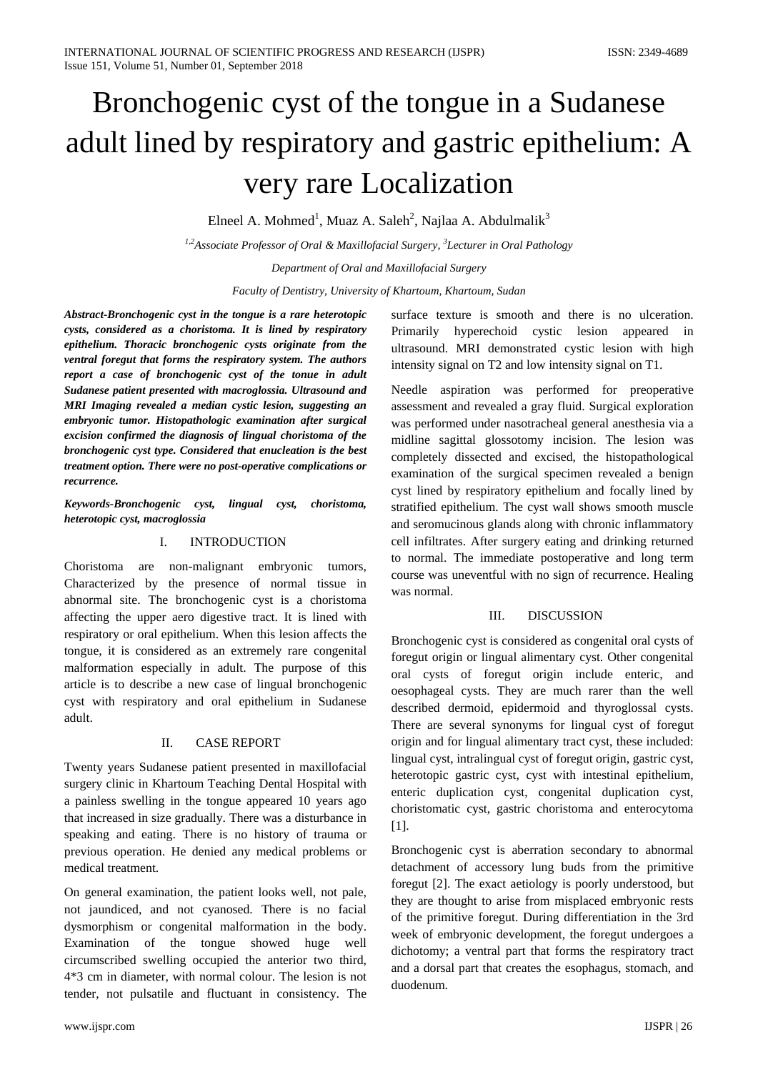# Bronchogenic cyst of the tongue in a Sudanese adult lined by respiratory and gastric epithelium: A very rare Localization

Elneel A. Mohmed<sup>1</sup>, Muaz A. Saleh<sup>2</sup>, Najlaa A. Abdulmalik<sup>3</sup>

*1,2Associate Professor of Oral & Maxillofacial Surgery, 3 Lecturer in Oral Pathology Department of Oral and Maxillofacial Surgery*

*Faculty of Dentistry, University of Khartoum, Khartoum, Sudan*

*Abstract-Bronchogenic cyst in the tongue is a rare heterotopic cysts, considered as a choristoma. It is lined by respiratory epithelium. Thoracic bronchogenic cysts originate from the ventral foregut that forms the respiratory system. The authors report a case of bronchogenic cyst of the tonue in adult Sudanese patient presented with macroglossia. Ultrasound and MRI Imaging revealed a median cystic lesion, suggesting an embryonic tumor. Histopathologic examination after surgical excision confirmed the diagnosis of lingual choristoma of the bronchogenic cyst type. Considered that enucleation is the best treatment option. There were no post-operative complications or recurrence.* 

*Keywords-Bronchogenic cyst, lingual cyst, choristoma, heterotopic cyst, macroglossia*

## I. INTRODUCTION

Choristoma are non-malignant embryonic tumors, Characterized by the presence of normal tissue in abnormal site. The bronchogenic cyst is a choristoma affecting the upper aero digestive tract. It is lined with respiratory or oral epithelium. When this lesion affects the tongue, it is considered as an extremely rare congenital malformation especially in adult. The purpose of this article is to describe a new case of lingual bronchogenic cyst with respiratory and oral epithelium in Sudanese adult.

## II. CASE REPORT

Twenty years Sudanese patient presented in maxillofacial surgery clinic in Khartoum Teaching Dental Hospital with a painless swelling in the tongue appeared 10 years ago that increased in size gradually. There was a disturbance in speaking and eating. There is no history of trauma or previous operation. He denied any medical problems or medical treatment.

On general examination, the patient looks well, not pale, not jaundiced, and not cyanosed. There is no facial dysmorphism or congenital malformation in the body. Examination of the tongue showed huge well circumscribed swelling occupied the anterior two third, 4\*3 cm in diameter, with normal colour. The lesion is not tender, not pulsatile and fluctuant in consistency. The

surface texture is smooth and there is no ulceration. Primarily hyperechoid cystic lesion appeared in ultrasound. MRI demonstrated cystic lesion with high intensity signal on T2 and low intensity signal on T1.

Needle aspiration was performed for preoperative assessment and revealed a gray fluid. Surgical exploration was performed under nasotracheal general anesthesia via a midline sagittal glossotomy incision. The lesion was completely dissected and excised, the histopathological examination of the surgical specimen revealed a benign cyst lined by respiratory epithelium and focally lined by stratified epithelium. The cyst wall shows smooth muscle and seromucinous glands along with chronic inflammatory cell infiltrates. After surgery eating and drinking returned to normal. The immediate postoperative and long term course was uneventful with no sign of recurrence. Healing was normal.

## III. DISCUSSION

Bronchogenic cyst is considered as congenital oral cysts of foregut origin or lingual alimentary cyst. Other congenital oral cysts of foregut origin include enteric, and oesophageal cysts. They are much rarer than the well described dermoid, epidermoid and thyroglossal cysts. There are several synonyms for lingual cyst of foregut origin and for lingual alimentary tract cyst, these included: lingual cyst, intralingual cyst of foregut origin, gastric cyst, heterotopic gastric cyst, cyst with intestinal epithelium, enteric duplication cyst, congenital duplication cyst, choristomatic cyst, gastric choristoma and enterocytoma [1].

Bronchogenic cyst is aberration secondary to abnormal detachment of accessory lung buds from the primitive foregut [2]. The exact aetiology is poorly understood, but they are thought to arise from misplaced embryonic rests of the primitive foregut. During differentiation in the 3rd week of embryonic development, the foregut undergoes a dichotomy; a ventral part that forms the respiratory tract and a dorsal part that creates the esophagus, stomach, and duodenum.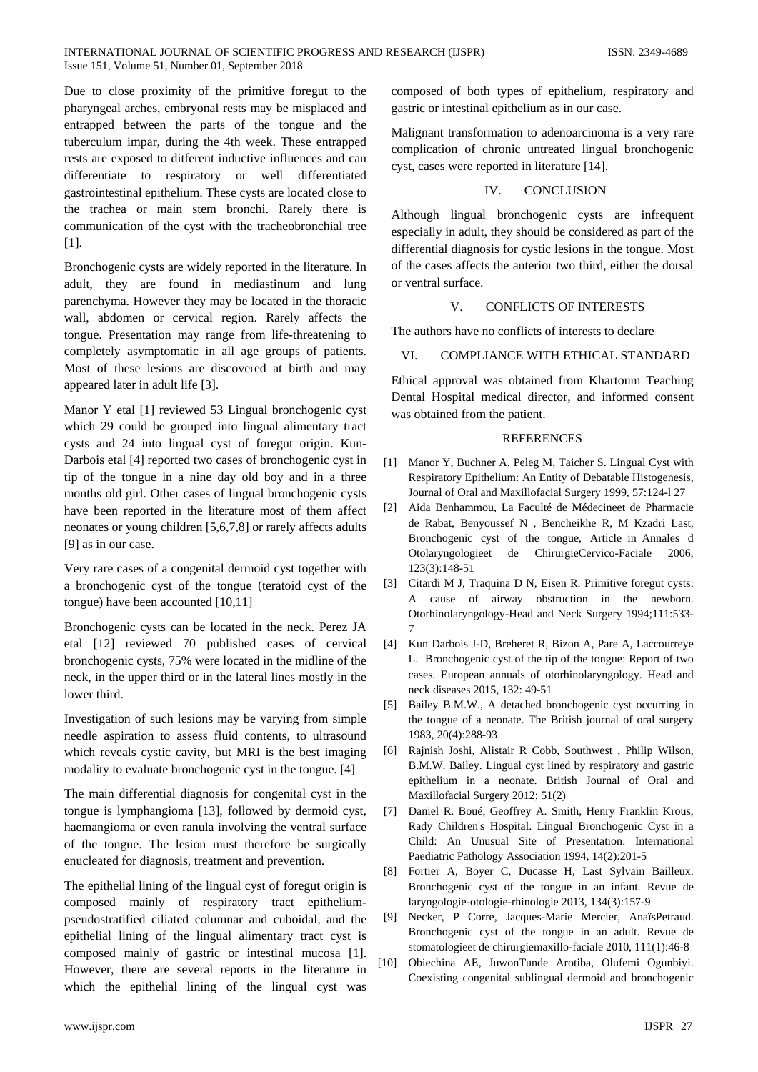#### INTERNATIONAL JOURNAL OF SCIENTIFIC PROGRESS AND RESEARCH (IJSPR) ISSN: 2349-4689 Issue 151, Volume 51, Number 01, September 2018

Due to close proximity of the primitive foregut to the pharyngeal arches, embryonal rests may be misplaced and entrapped between the parts of the tongue and the tuberculum impar, during the 4th week. These entrapped rests are exposed to ditferent inductive influences and can differentiate to respiratory or well differentiated gastrointestinal epithelium. These cysts are located close to the trachea or main stem bronchi. Rarely there is communication of the cyst with the tracheobronchial tree [1].

Bronchogenic cysts are widely reported in the literature. In adult, they are found in mediastinum and lung parenchyma. However they may be located in the thoracic wall, abdomen or cervical region. Rarely affects the tongue. Presentation may range from life-threatening to completely asymptomatic in all age groups of patients. Most of these lesions are discovered at birth and may appeared later in adult life [3].

Manor Y etal [1] reviewed 53 Lingual bronchogenic cyst which 29 could be grouped into lingual alimentary tract cysts and 24 into lingual cyst of foregut origin. Kun-Darbois etal [4] reported two cases of bronchogenic cyst in tip of the tongue in a nine day old boy and in a three months old girl. Other cases of lingual bronchogenic cysts have been reported in the literature most of them affect neonates or young children [5,6,7,8] or rarely affects adults [9] as in our case.

Very rare cases of a congenital dermoid cyst together with a bronchogenic cyst of the tongue (teratoid cyst of the tongue) have been accounted [10,11]

Bronchogenic cysts can be located in the neck. Perez JA etal [12] reviewed 70 published cases of cervical bronchogenic cysts, 75% were located in the midline of the neck, in the upper third or in the lateral lines mostly in the lower third.

Investigation of such lesions may be varying from simple needle aspiration to assess fluid contents, to ultrasound which reveals cystic cavity, but MRI is the best imaging modality to evaluate bronchogenic cyst in the tongue. [4]

The main differential diagnosis for congenital cyst in the tongue is lymphangioma [13], followed by dermoid cyst, haemangioma or even ranula involving the ventral surface of the tongue. The lesion must therefore be surgically enucleated for diagnosis, treatment and prevention.

The epithelial lining of the lingual cyst of foregut origin is composed mainly of respiratory tract epitheliumpseudostratified ciliated columnar and cuboidal, and the epithelial lining of the lingual alimentary tract cyst is composed mainly of gastric or intestinal mucosa [1]. However, there are several reports in the literature in which the epithelial lining of the lingual cyst was

composed of both types of epithelium, respiratory and gastric or intestinal epithelium as in our case.

Malignant transformation to adenoarcinoma is a very rare complication of chronic untreated lingual bronchogenic cyst, cases were reported in literature [14].

### IV. CONCLUSION

Although lingual bronchogenic cysts are infrequent especially in adult, they should be considered as part of the differential diagnosis for cystic lesions in the tongue. Most of the cases affects the anterior two third, either the dorsal or ventral surface.

## V. CONFLICTS OF INTERESTS

The authors have no conflicts of interests to declare

## VI. COMPLIANCE WITH ETHICAL STANDARD

Ethical approval was obtained from Khartoum Teaching Dental Hospital medical director, and informed consent was obtained from the patient.

#### REFERENCES

- [1] Manor Y, Buchner A, Peleg M, Taicher S. Lingual Cyst with Respiratory Epithelium: An Entity of Debatable Histogenesis, Journal of Oral and Maxillofacial Surgery 1999, 57:124-l 27
- [2] Aida Benhammou, La Faculté de Médecineet de Pharmacie de Rabat, Benyoussef N , Bencheikhe R, M Kzadri Last, Bronchogenic cyst of the tongue, Article in Annales d Otolaryngologieet de ChirurgieCervico-Faciale 2006, 123(3):148-51
- [3] Citardi M J, Traquina D N, Eisen R. Primitive foregut cysts: A cause of airway obstruction in the newborn. Otorhinolaryngology-Head and Neck Surgery 1994;111:533- 7
- [4] Kun Darbois J-D, Breheret R, Bizon A, Pare A, Laccourreye L. Bronchogenic cyst of the tip of the tongue: Report of two cases. European annuals of otorhinolaryngology. Head and neck diseases 2015, 132: 49-51
- [5] Bailey B.M.W., A detached bronchogenic cyst occurring in the tongue of a neonate. The British journal of oral surgery 1983, 20(4):288-93
- [6] Rajnish Joshi, Alistair R Cobb, Southwest , Philip Wilson, B.M.W. Bailey. Lingual cyst lined by respiratory and gastric epithelium in a neonate. British Journal of Oral and Maxillofacial Surgery 2012; 51(2)
- [7] Daniel R. Boué, Geoffrey A. Smith, Henry Franklin Krous, Rady Children's Hospital. Lingual Bronchogenic Cyst in a Child: An Unusual Site of Presentation. International Paediatric Pathology Association 1994, 14(2):201-5
- [8] Fortier A, Boyer C, Ducasse H, Last Sylvain Bailleux. Bronchogenic cyst of the tongue in an infant. Revue de laryngologie-otologie-rhinologie 2013, 134(3):157-9
- [9] Necker, P Corre, Jacques-Marie Mercier, AnaïsPetraud. Bronchogenic cyst of the tongue in an adult. Revue de stomatologieet de chirurgiemaxillo-faciale 2010, 111(1):46-8
- [10] Obiechina AE, JuwonTunde Arotiba, Olufemi Ogunbiyi. Coexisting congenital sublingual dermoid and bronchogenic